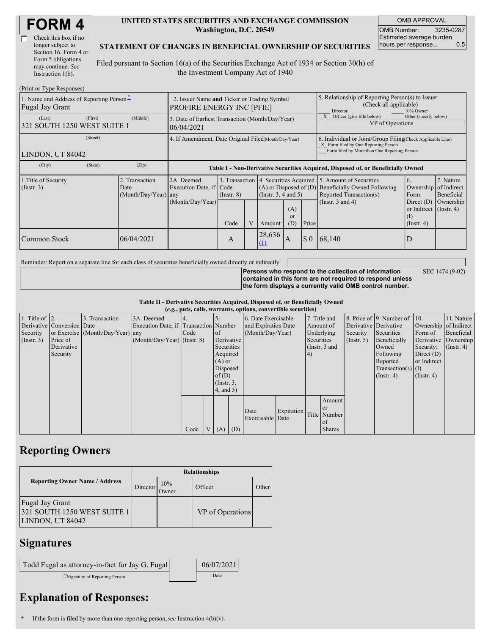| Check this box if no  |
|-----------------------|
| longer subject to     |
| Section 16. Form 4 or |
| Form 5 obligations    |
| may continue. See     |
| Instruction $1(b)$ .  |

#### **UNITED STATES SECURITIES AND EXCHANGE COMMISSION Washington, D.C. 20549**

OMB APPROVAL OMB Number: 3235-0287 Estimated average burden hours per response... 0.5

#### **STATEMENT OF CHANGES IN BENEFICIAL OWNERSHIP OF SECURITIES**

Filed pursuant to Section 16(a) of the Securities Exchange Act of 1934 or Section 30(h) of the Investment Company Act of 1940

| (Print or Type Responses)                                   |                                                                                 |                                                                |                                                                                  |   |                                                                                                 |                                                                                                                                                    |                                                                         |                                                                                                                                                              |                                                                         |           |
|-------------------------------------------------------------|---------------------------------------------------------------------------------|----------------------------------------------------------------|----------------------------------------------------------------------------------|---|-------------------------------------------------------------------------------------------------|----------------------------------------------------------------------------------------------------------------------------------------------------|-------------------------------------------------------------------------|--------------------------------------------------------------------------------------------------------------------------------------------------------------|-------------------------------------------------------------------------|-----------|
| 1. Name and Address of Reporting Person*<br>Fugal Jay Grant | 2. Issuer Name and Ticker or Trading Symbol<br><b>PROFIRE ENERGY INC [PFIE]</b> |                                                                |                                                                                  |   |                                                                                                 | 5. Relationship of Reporting Person(s) to Issuer<br>(Check all applicable)<br>Director<br>10% Owner                                                |                                                                         |                                                                                                                                                              |                                                                         |           |
| (Last)<br>(First)<br>321 SOUTH 1250 WEST SUITE 1            | (Middle)                                                                        | 3. Date of Earliest Transaction (Month/Day/Year)<br>06/04/2021 |                                                                                  |   |                                                                                                 |                                                                                                                                                    | Other (specify below)<br>Officer (give title below)<br>VP of Operations |                                                                                                                                                              |                                                                         |           |
| (Street)<br>LINDON, UT 84042                                | 4. If Amendment, Date Original Filed Month/Day/Year)                            |                                                                |                                                                                  |   |                                                                                                 | 6. Individual or Joint/Group Filing(Check Applicable Line)<br>X Form filed by One Reporting Person<br>Form filed by More than One Reporting Person |                                                                         |                                                                                                                                                              |                                                                         |           |
| (City)<br>(State)                                           | (Zip)                                                                           |                                                                | Table I - Non-Derivative Securities Acquired, Disposed of, or Beneficially Owned |   |                                                                                                 |                                                                                                                                                    |                                                                         |                                                                                                                                                              |                                                                         |           |
| 1. Title of Security<br>$($ Instr. 3 $)$                    | 2. Transaction<br>Date<br>$(Month/Day/Year)$ any                                | 2A. Deemed<br>Execution Date, if Code                          | $($ Instr. $8)$                                                                  |   | 3. Transaction   4. Securities Acquired  <br>$(A)$ or Disposed of $(D)$<br>(Insert. 3, 4 and 5) |                                                                                                                                                    |                                                                         | 7. Nature<br>5. Amount of Securities<br>6.<br><b>Beneficially Owned Following</b><br>Ownership of Indirect<br>Reported Transaction(s)<br>Beneficial<br>Form: |                                                                         |           |
|                                                             |                                                                                 | (Month/Day/Year)                                               | Code                                                                             | V | Amount                                                                                          | (A)<br><sub>or</sub><br>(D)                                                                                                                        | Price                                                                   | (Instr. $3$ and $4$ )                                                                                                                                        | Direct $(D)$<br>or Indirect $($ Instr. 4 $)$<br>(I)<br>$($ Instr. 4 $)$ | Ownership |
| Common Stock                                                | 06/04/2021                                                                      |                                                                | A                                                                                |   | 28,636<br>$\Omega$                                                                              | $\mathbf{A}$                                                                                                                                       | $\Omega$                                                                | 68,140                                                                                                                                                       | D                                                                       |           |

Reminder: Report on a separate line for each class of securities beneficially owned directly or indirectly.

SEC 1474 (9-02)

**Persons who respond to the collection of information contained in this form are not required to respond unless the form displays a currently valid OMB control number.**

**Table II - Derivative Securities Acquired, Disposed of, or Beneficially Owned**

| (e.g., puts, calls, warrants, options, convertible securities) |                            |                                  |                                       |      |  |                 |     |                     |            |            |               |               |                              |                       |                      |
|----------------------------------------------------------------|----------------------------|----------------------------------|---------------------------------------|------|--|-----------------|-----|---------------------|------------|------------|---------------|---------------|------------------------------|-----------------------|----------------------|
| 1. Title of $\vert$ 2.                                         |                            | 3. Transaction                   | 3A. Deemed                            |      |  |                 |     | 6. Date Exercisable |            |            | 7. Title and  |               | 8. Price of 9. Number of 10. |                       | 11. Nature           |
|                                                                | Derivative Conversion Date |                                  | Execution Date, if Transaction Number |      |  |                 |     | and Expiration Date |            | Amount of  |               |               | Derivative Derivative        | Ownership of Indirect |                      |
| Security                                                       |                            | or Exercise (Month/Day/Year) any |                                       | Code |  | of              |     | (Month/Day/Year)    |            |            | Underlying    | Security      | Securities                   | Form of               | Beneficial           |
| $($ Instr. 3 $)$                                               | Price of                   |                                  | $(Month/Day/Year)$ (Instr. 8)         |      |  | Derivative      |     |                     |            | Securities |               | $($ Instr. 5) | Beneficially                 |                       | Derivative Ownership |
|                                                                | Derivative                 |                                  |                                       |      |  | Securities      |     |                     |            |            | (Instr. 3 and |               | Owned                        | Security:             | $($ Instr. 4)        |
|                                                                | Security                   |                                  |                                       |      |  | Acquired        |     |                     |            | (4)        |               |               | Following                    | Direct $(D)$          |                      |
|                                                                |                            |                                  |                                       |      |  | $(A)$ or        |     |                     |            |            |               |               | Reported                     | or Indirect           |                      |
|                                                                |                            |                                  |                                       |      |  | Disposed        |     |                     |            |            |               |               | $Transaction(s)$ (I)         |                       |                      |
|                                                                |                            |                                  |                                       |      |  | of(D)           |     |                     |            |            |               |               | $($ Instr. 4)                | $($ Instr. 4 $)$      |                      |
|                                                                |                            |                                  |                                       |      |  | $($ Instr. $3,$ |     |                     |            |            |               |               |                              |                       |                      |
|                                                                |                            |                                  |                                       |      |  | $4$ , and $5$ ) |     |                     |            |            |               |               |                              |                       |                      |
|                                                                |                            |                                  |                                       |      |  |                 |     |                     |            |            | Amount        |               |                              |                       |                      |
|                                                                |                            |                                  |                                       |      |  |                 |     | Date                | Expiration |            | <sub>or</sub> |               |                              |                       |                      |
|                                                                |                            |                                  |                                       |      |  |                 |     | Exercisable Date    |            |            | Title Number  |               |                              |                       |                      |
|                                                                |                            |                                  |                                       |      |  |                 |     |                     |            |            | of            |               |                              |                       |                      |
|                                                                |                            |                                  |                                       | Code |  | V(A)            | (D) |                     |            |            | <b>Shares</b> |               |                              |                       |                      |

## **Reporting Owners**

|                                                                    | <b>Relationships</b> |              |                  |       |  |  |  |  |
|--------------------------------------------------------------------|----------------------|--------------|------------------|-------|--|--|--|--|
| <b>Reporting Owner Name / Address</b>                              | Director             | 10%<br>Owner | Officer          | Other |  |  |  |  |
| Fugal Jay Grant<br>321 SOUTH 1250 WEST SUITE 1<br>LINDON, UT 84042 |                      |              | VP of Operations |       |  |  |  |  |

### **Signatures**

| Todd Fugal as attorney-in-fact for Jay G. Fugal | 06/07/2021 |
|-------------------------------------------------|------------|
| ** Signature of Reporting Person                | Date       |

# **Explanation of Responses:**

**<sup>\*</sup>** If the form is filed by more than one reporting person,*see* Instruction 4(b)(v).